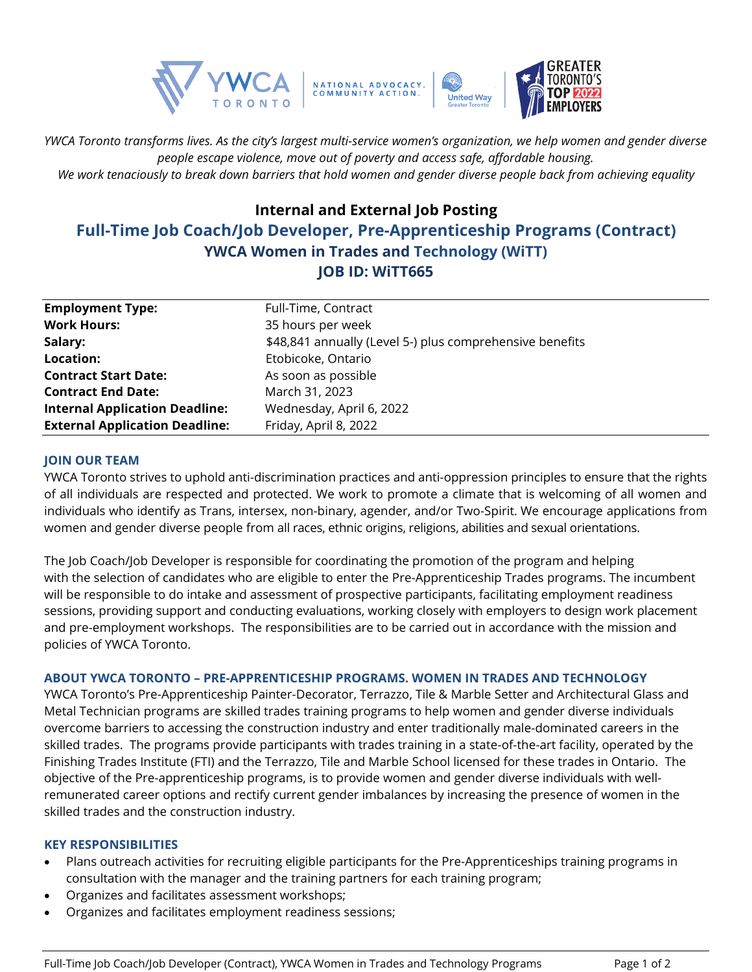

*YWCA Toronto transforms lives. As the city's largest multi-service women's organization, we help women and gender diverse people escape violence, move out of poverty and access safe, affordable housing. We work tenaciously to break down barriers that hold women and gender diverse people back from achieving equality*

# **Internal and External Job Posting Full-Time Job Coach/Job Developer, Pre-Apprenticeship Programs (Contract) YWCA Women in Trades and Technology (WiTT) JOB ID: WiTT665**

| <b>Employment Type:</b>               | Full-Time, Contract                                      |
|---------------------------------------|----------------------------------------------------------|
| <b>Work Hours:</b>                    | 35 hours per week                                        |
| Salary:                               | \$48,841 annually (Level 5-) plus comprehensive benefits |
| Location:                             | Etobicoke, Ontario                                       |
| <b>Contract Start Date:</b>           | As soon as possible                                      |
| <b>Contract End Date:</b>             | March 31, 2023                                           |
| <b>Internal Application Deadline:</b> | Wednesday, April 6, 2022                                 |
| <b>External Application Deadline:</b> | Friday, April 8, 2022                                    |

### **JOIN OUR TEAM**

YWCA Toronto strives to uphold anti-discrimination practices and anti-oppression principles to ensure that the rights of all individuals are respected and protected. We work to promote a climate that is welcoming of all women and individuals who identify as Trans, intersex, non-binary, agender, and/or Two-Spirit. We encourage applications from women and gender diverse people from all races, ethnic origins, religions, abilities and sexual orientations.

The Job Coach/Job Developer is responsible for coordinating the promotion of the program and helping with the selection of candidates who are eligible to enter the Pre-Apprenticeship Trades programs. The incumbent will be responsible to do intake and assessment of prospective participants, facilitating employment readiness sessions, providing support and conducting evaluations, working closely with employers to design work placement and pre-employment workshops. The responsibilities are to be carried out in accordance with the mission and policies of YWCA Toronto.

## **ABOUT YWCA TORONTO – PRE-APPRENTICESHIP PROGRAMS. WOMEN IN TRADES AND TECHNOLOGY**

YWCA Toronto's Pre-Apprenticeship Painter-Decorator, Terrazzo, Tile & Marble Setter and Architectural Glass and Metal Technician programs are skilled trades training programs to help women and gender diverse individuals overcome barriers to accessing the construction industry and enter traditionally male-dominated careers in the skilled trades. The programs provide participants with trades training in a state-of-the-art facility, operated by the Finishing Trades Institute (FTI) and the Terrazzo, Tile and Marble School licensed for these trades in Ontario. The objective of the Pre-apprenticeship programs, is to provide women and gender diverse individuals with wellremunerated career options and rectify current gender imbalances by increasing the presence of women in the skilled trades and the construction industry.

#### **KEY RESPONSIBILITIES**

- Plans outreach activities for recruiting eligible participants for the Pre-Apprenticeships training programs in consultation with the manager and the training partners for each training program;
- Organizes and facilitates assessment workshops;
- Organizes and facilitates employment readiness sessions;